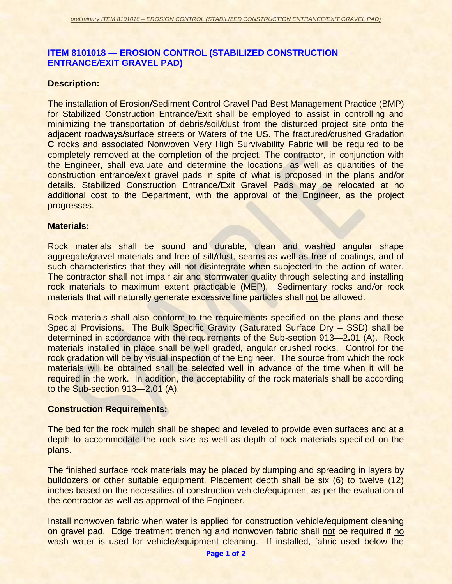# **ITEM 8101018 — EROSION CONTROL (STABILIZED CONSTRUCTION ENTRANCE***/***EXIT GRAVEL PAD)**

### **Description:**

The installation of Erosion*/*Sediment Control Gravel Pad Best Management Practice (BMP) for Stabilized Construction Entrance*/*Exit shall be employed to assist in controlling and minimizing the transportation of debris*/*soil*/*dust from the disturbed project site onto the adjacent roadways*/*surface streets or Waters of the US. The fractured*/*crushed Gradation **C** rocks and associated Nonwoven Very High Survivability Fabric will be required to be completely removed at the completion of the project. The contractor, in conjunction with the Engineer, shall evaluate and determine the locations, as well as quantities of the construction entrance*/*exit gravel pads in spite of what is proposed in the plans and*/*or details. Stabilized Construction Entrance*/*Exit Gravel Pads may be relocated at no additional cost to the Department, with the approval of the Engineer, as the project progresses.

#### **Materials:**

Rock materials shall be sound and durable, clean and washed angular shape aggregate*/*gravel materials and free of silt*/*dust, seams as well as free of coatings, and of such characteristics that they will not disintegrate when subjected to the action of water. The contractor shall not impair air and stormwater quality through selecting and installing rock materials to maximum extent practicable (MEP). Sedimentary rocks and*/*or rock materials that will naturally generate excessive fine particles shall not be allowed.

Rock materials shall also conform to the requirements specified on the plans and these Special Provisions. The Bulk Specific Gravity (Saturated Surface Dry – SSD) shall be determined in accordance with the requirements of the Sub-section 913—2**.**01 (A). Rock materials installed in place shall be well graded, angular crushed rocks. Control for the rock gradation will be by visual inspection of the Engineer. The source from which the rock materials will be obtained shall be selected well in advance of the time when it will be required in the work. In addition, the acceptability of the rock materials shall be according to the Sub-section 913—2**.**01 (A).

### **Construction Requirements:**

The bed for the rock mulch shall be shaped and leveled to provide even surfaces and at a depth to accommodate the rock size as well as depth of rock materials specified on the plans.

The finished surface rock materials may be placed by dumping and spreading in layers by bulldozers or other suitable equipment. Placement depth shall be six (6) to twelve (12) inches based on the necessities of construction vehicle*/*equipment as per the evaluation of the contractor as well as approval of the Engineer.

Install nonwoven fabric when water is applied for construction vehicle*/*equipment cleaning on gravel pad. Edge treatment trenching and nonwoven fabric shall not be required if no wash water is used for vehicle*/*equipment cleaning. If installed, fabric used below the